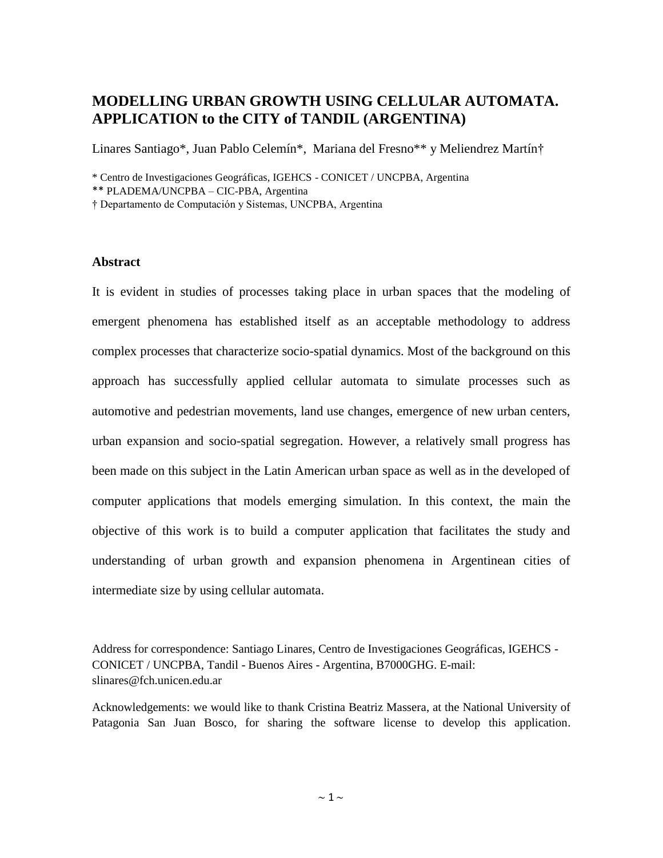## **MODELLING URBAN GROWTH USING CELLULAR AUTOMATA. APPLICATION to the CITY of TANDIL (ARGENTINA)**

Linares Santiago\*, Juan Pablo Celemín\*, Mariana del Fresno\*\* y Meliendrez Martín†

\* Centro de Investigaciones Geográficas, IGEHCS - CONICET / UNCPBA, Argentina

\*\* PLADEMA/UNCPBA – CIC-PBA, Argentina

† Departamento de Computación y Sistemas, UNCPBA, Argentina

## **Abstract**

It is evident in studies of processes taking place in urban spaces that the modeling of emergent phenomena has established itself as an acceptable methodology to address complex processes that characterize socio-spatial dynamics. Most of the background on this approach has successfully applied cellular automata to simulate processes such as automotive and pedestrian movements, land use changes, emergence of new urban centers, urban expansion and socio-spatial segregation. However, a relatively small progress has been made on this subject in the Latin American urban space as well as in the developed of computer applications that models emerging simulation. In this context, the main the objective of this work is to build a computer application that facilitates the study and understanding of urban growth and expansion phenomena in Argentinean cities of intermediate size by using cellular automata.

Address for correspondence: Santiago Linares, Centro de Investigaciones Geográficas, IGEHCS - CONICET / UNCPBA, Tandil - Buenos Aires - Argentina, B7000GHG. E-mail: slinares@fch.unicen.edu.ar

Acknowledgements: we would like to thank Cristina Beatriz Massera, at the National University of Patagonia San Juan Bosco, for sharing the software license to develop this application.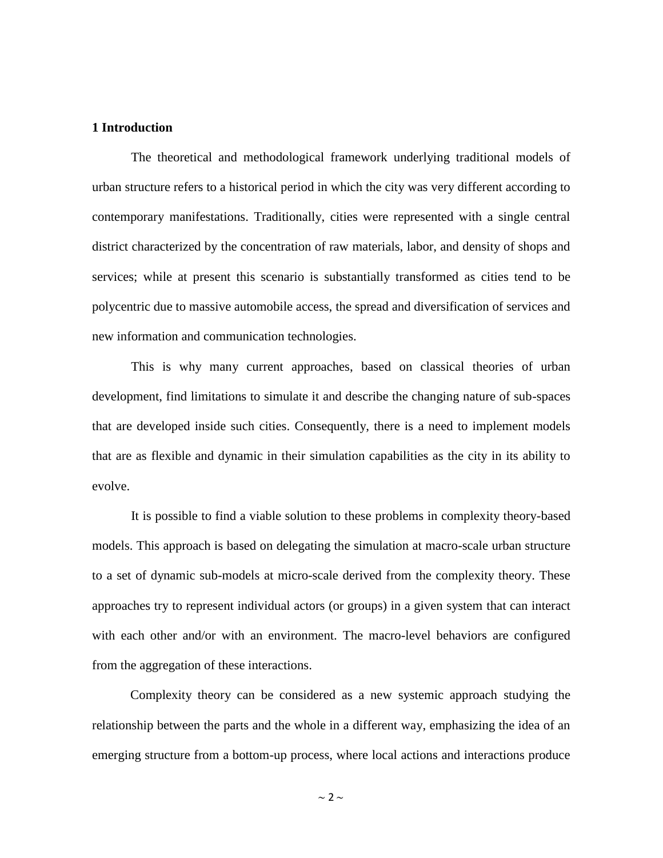#### **1 Introduction**

The theoretical and methodological framework underlying traditional models of urban structure refers to a historical period in which the city was very different according to contemporary manifestations. Traditionally, cities were represented with a single central district characterized by the concentration of raw materials, labor, and density of shops and services; while at present this scenario is substantially transformed as cities tend to be polycentric due to massive automobile access, the spread and diversification of services and new information and communication technologies.

This is why many current approaches, based on classical theories of urban development, find limitations to simulate it and describe the changing nature of sub-spaces that are developed inside such cities. Consequently, there is a need to implement models that are as flexible and dynamic in their simulation capabilities as the city in its ability to evolve.

It is possible to find a viable solution to these problems in complexity theory-based models. This approach is based on delegating the simulation at macro-scale urban structure to a set of dynamic sub-models at micro-scale derived from the complexity theory. These approaches try to represent individual actors (or groups) in a given system that can interact with each other and/or with an environment. The macro-level behaviors are configured from the aggregation of these interactions.

Complexity theory can be considered as a new systemic approach studying the relationship between the parts and the whole in a different way, emphasizing the idea of an emerging structure from a bottom-up process, where local actions and interactions produce

 $\sim$  2  $\sim$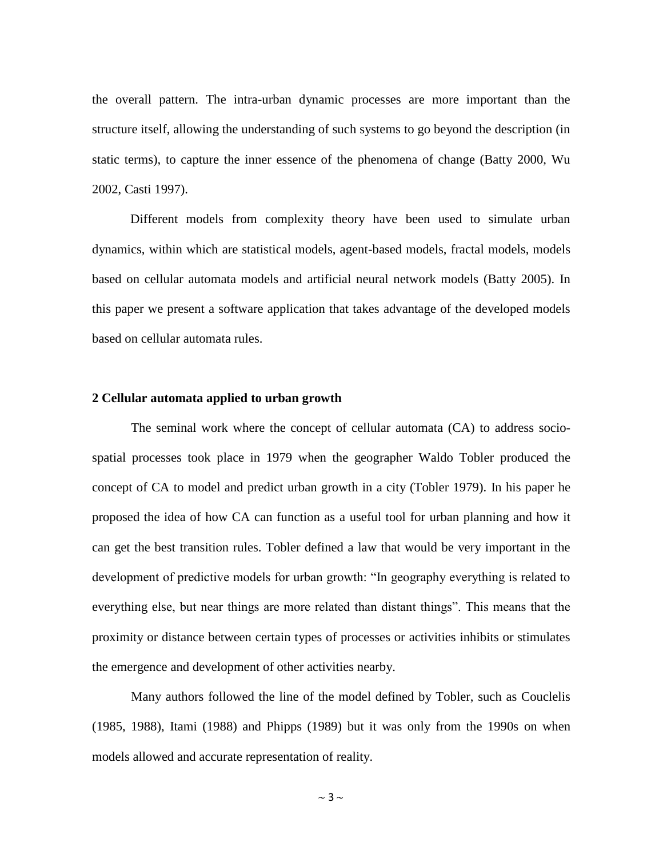the overall pattern. The intra-urban dynamic processes are more important than the structure itself, allowing the understanding of such systems to go beyond the description (in static terms), to capture the inner essence of the phenomena of change (Batty 2000, Wu 2002, Casti 1997).

Different models from complexity theory have been used to simulate urban dynamics, within which are statistical models, agent-based models, fractal models, models based on cellular automata models and artificial neural network models (Batty 2005). In this paper we present a software application that takes advantage of the developed models based on cellular automata rules.

#### **2 Cellular automata applied to urban growth**

The seminal work where the concept of cellular automata (CA) to address sociospatial processes took place in 1979 when the geographer Waldo Tobler produced the concept of CA to model and predict urban growth in a city (Tobler 1979). In his paper he proposed the idea of how CA can function as a useful tool for urban planning and how it can get the best transition rules. Tobler defined a law that would be very important in the development of predictive models for urban growth: "In geography everything is related to everything else, but near things are more related than distant things". This means that the proximity or distance between certain types of processes or activities inhibits or stimulates the emergence and development of other activities nearby.

Many authors followed the line of the model defined by Tobler, such as Couclelis (1985, 1988), Itami (1988) and Phipps (1989) but it was only from the 1990s on when models allowed and accurate representation of reality.

 $\sim$  3  $\sim$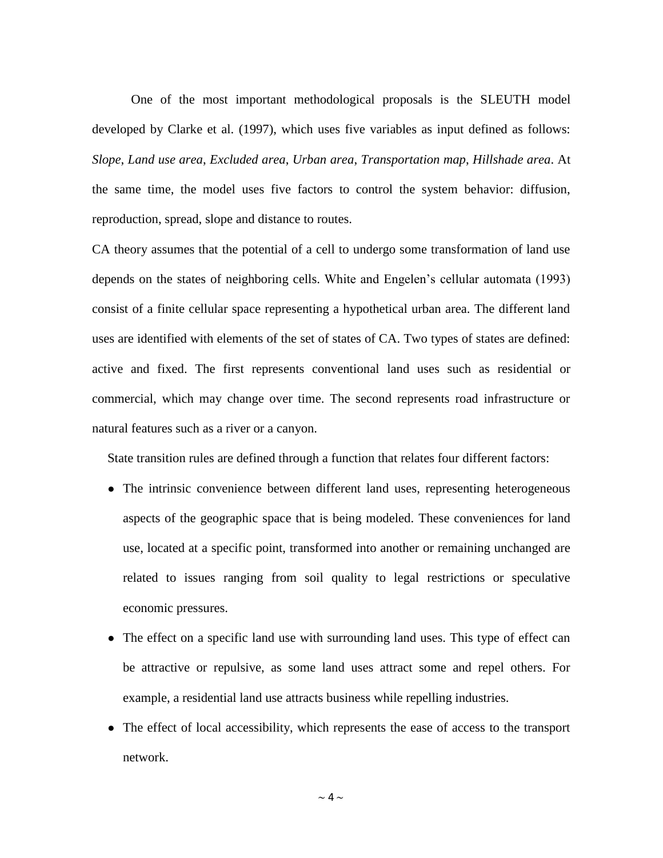One of the most important methodological proposals is the SLEUTH model developed by Clarke et al. (1997), which uses five variables as input defined as follows: *Slope*, *Land use area*, *Excluded area*, *Urban area*, *Transportation map*, *Hillshade area*. At the same time, the model uses five factors to control the system behavior: diffusion, reproduction, spread, slope and distance to routes.

CA theory assumes that the potential of a cell to undergo some transformation of land use depends on the states of neighboring cells. White and Engelen's cellular automata (1993) consist of a finite cellular space representing a hypothetical urban area. The different land uses are identified with elements of the set of states of CA. Two types of states are defined: active and fixed. The first represents conventional land uses such as residential or commercial, which may change over time. The second represents road infrastructure or natural features such as a river or a canyon.

State transition rules are defined through a function that relates four different factors:

- The intrinsic convenience between different land uses, representing heterogeneous aspects of the geographic space that is being modeled. These conveniences for land use, located at a specific point, transformed into another or remaining unchanged are related to issues ranging from soil quality to legal restrictions or speculative economic pressures.
- The effect on a specific land use with surrounding land uses. This type of effect can be attractive or repulsive, as some land uses attract some and repel others. For example, a residential land use attracts business while repelling industries.
- The effect of local accessibility, which represents the ease of access to the transport network.

 $\sim$  4  $\sim$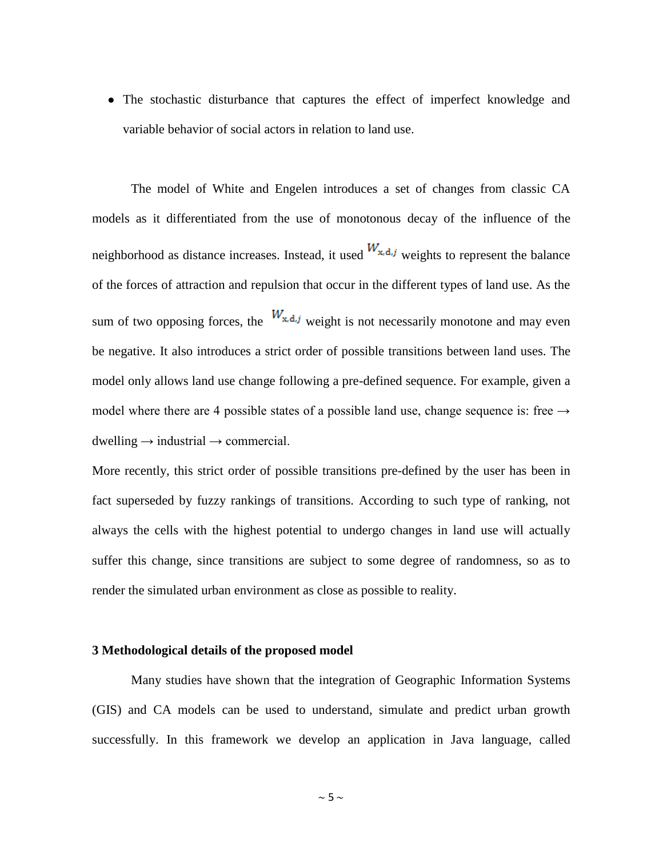• The stochastic disturbance that captures the effect of imperfect knowledge and variable behavior of social actors in relation to land use.

The model of White and Engelen introduces a set of changes from classic CA models as it differentiated from the use of monotonous decay of the influence of the neighborhood as distance increases. Instead, it used  $W_{x,d,j}$  weights to represent the balance of the forces of attraction and repulsion that occur in the different types of land use. As the sum of two opposing forces, the  $W_{x,d,j}$  weight is not necessarily monotone and may even be negative. It also introduces a strict order of possible transitions between land uses. The model only allows land use change following a pre-defined sequence. For example, given a model where there are 4 possible states of a possible land use, change sequence is: free  $\rightarrow$  $d$ welling  $\rightarrow$  industrial  $\rightarrow$  commercial.

More recently, this strict order of possible transitions pre-defined by the user has been in fact superseded by fuzzy rankings of transitions. According to such type of ranking, not always the cells with the highest potential to undergo changes in land use will actually suffer this change, since transitions are subject to some degree of randomness, so as to render the simulated urban environment as close as possible to reality.

#### **3 Methodological details of the proposed model**

Many studies have shown that the integration of Geographic Information Systems (GIS) and CA models can be used to understand, simulate and predict urban growth successfully. In this framework we develop an application in Java language, called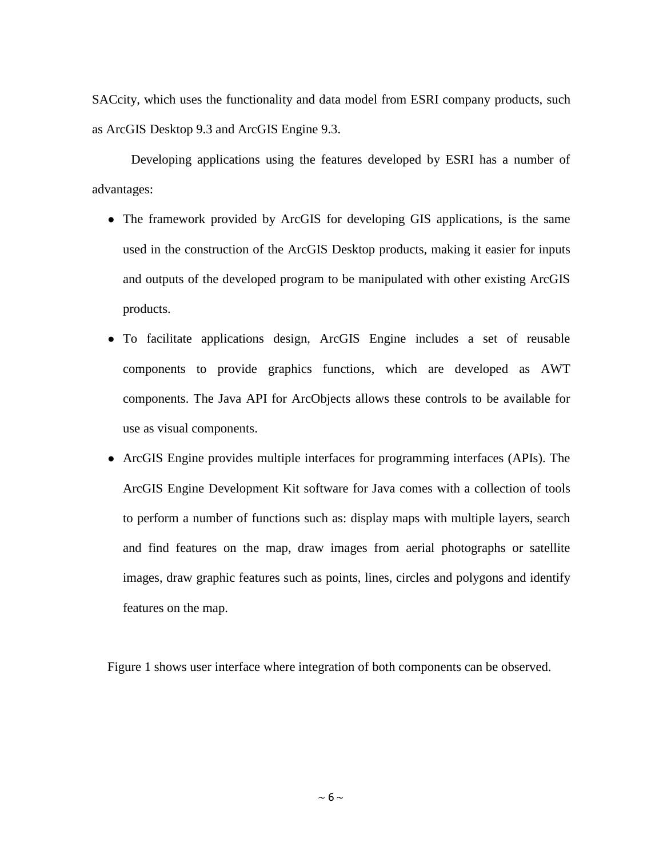SACcity, which uses the functionality and data model from ESRI company products, such as ArcGIS Desktop 9.3 and ArcGIS Engine 9.3.

Developing applications using the features developed by ESRI has a number of advantages:

- The framework provided by ArcGIS for developing GIS applications, is the same used in the construction of the ArcGIS Desktop products, making it easier for inputs and outputs of the developed program to be manipulated with other existing ArcGIS products.
- To facilitate applications design, ArcGIS Engine includes a set of reusable components to provide graphics functions, which are developed as AWT components. The Java API for ArcObjects allows these controls to be available for use as visual components.
- ArcGIS Engine provides multiple interfaces for programming interfaces (APIs). The ArcGIS Engine Development Kit software for Java comes with a collection of tools to perform a number of functions such as: display maps with multiple layers, search and find features on the map, draw images from aerial photographs or satellite images, draw graphic features such as points, lines, circles and polygons and identify features on the map.

Figure 1 shows user interface where integration of both components can be observed.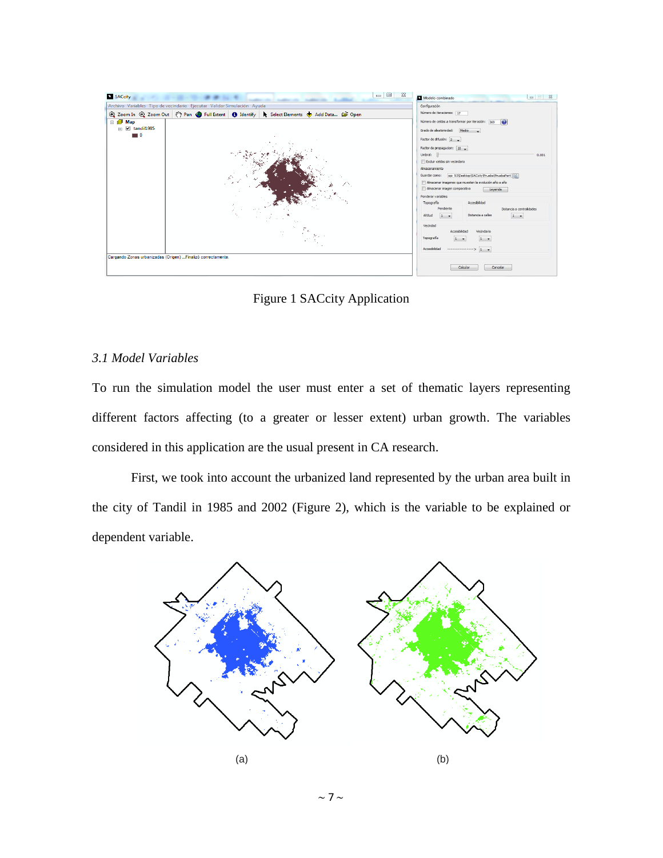

Figure 1 SACcity Application

## *3.1 Model Variables*

To run the simulation model the user must enter a set of thematic layers representing different factors affecting (to a greater or lesser extent) urban growth. The variables considered in this application are the usual present in CA research.

First, we took into account the urbanized land represented by the urban area built in the city of Tandil in 1985 and 2002 (Figure 2), which is the variable to be explained or dependent variable.



 $\sim$  7  $\sim$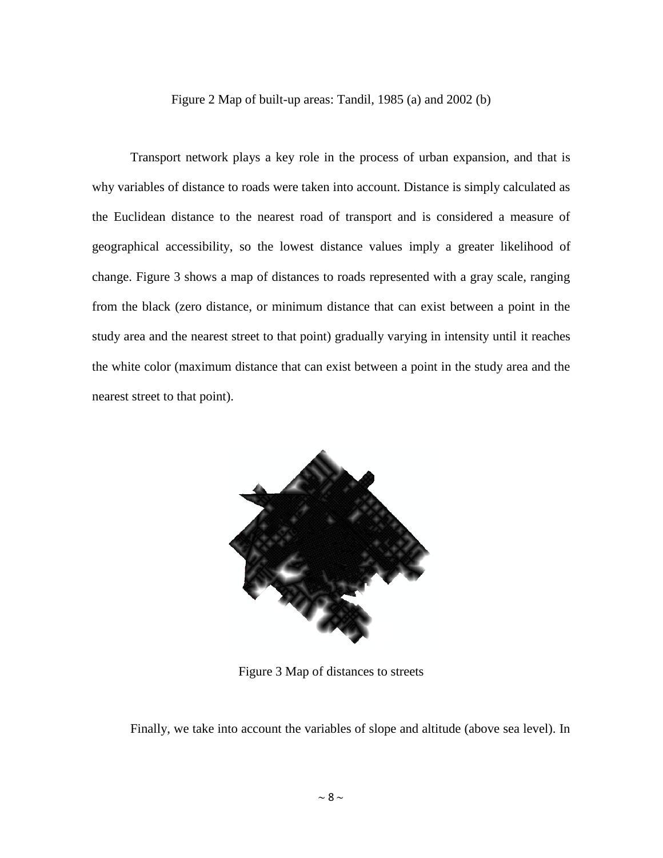Figure 2 Map of built-up areas: Tandil, 1985 (a) and 2002 (b)

Transport network plays a key role in the process of urban expansion, and that is why variables of distance to roads were taken into account. Distance is simply calculated as the Euclidean distance to the nearest road of transport and is considered a measure of geographical accessibility, so the lowest distance values imply a greater likelihood of change. Figure 3 shows a map of distances to roads represented with a gray scale, ranging from the black (zero distance, or minimum distance that can exist between a point in the study area and the nearest street to that point) gradually varying in intensity until it reaches the white color (maximum distance that can exist between a point in the study area and the nearest street to that point).



Figure 3 Map of distances to streets

Finally, we take into account the variables of slope and altitude (above sea level). In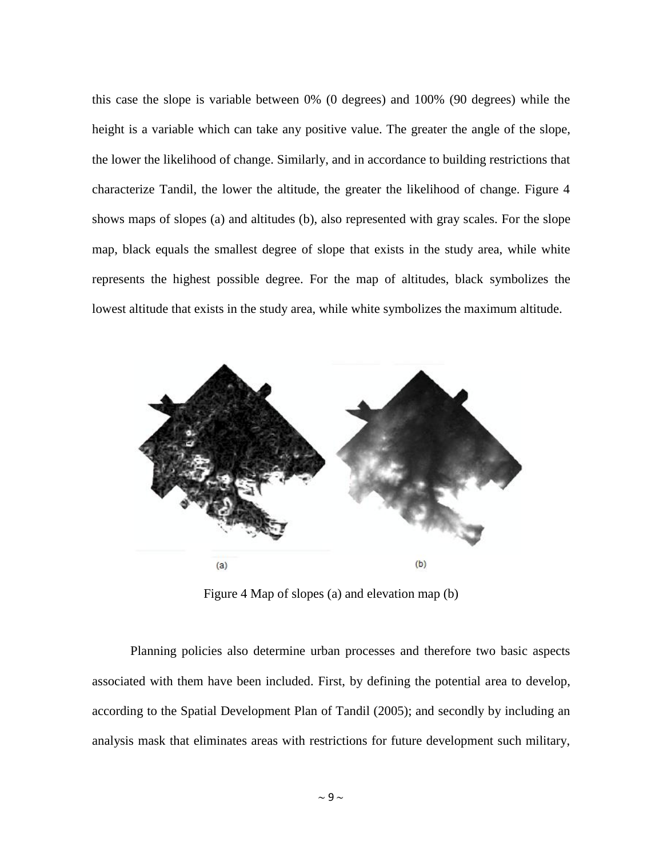this case the slope is variable between 0% (0 degrees) and 100% (90 degrees) while the height is a variable which can take any positive value. The greater the angle of the slope, the lower the likelihood of change. Similarly, and in accordance to building restrictions that characterize Tandil, the lower the altitude, the greater the likelihood of change. Figure 4 shows maps of slopes (a) and altitudes (b), also represented with gray scales. For the slope map, black equals the smallest degree of slope that exists in the study area, while white represents the highest possible degree. For the map of altitudes, black symbolizes the lowest altitude that exists in the study area, while white symbolizes the maximum altitude.



Figure 4 Map of slopes (a) and elevation map (b)

Planning policies also determine urban processes and therefore two basic aspects associated with them have been included. First, by defining the potential area to develop, according to the Spatial Development Plan of Tandil (2005); and secondly by including an analysis mask that eliminates areas with restrictions for future development such military,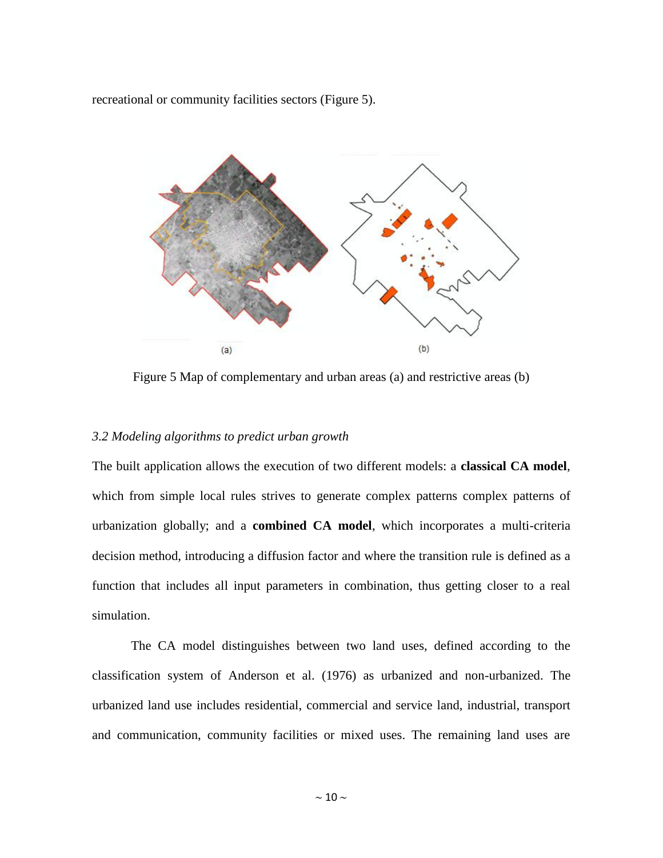recreational or community facilities sectors (Figure 5).



Figure 5 Map of complementary and urban areas (a) and restrictive areas (b)

## *3.2 Modeling algorithms to predict urban growth*

The built application allows the execution of two different models: a **classical CA model**, which from simple local rules strives to generate complex patterns complex patterns of urbanization globally; and a **combined CA model**, which incorporates a multi-criteria decision method, introducing a diffusion factor and where the transition rule is defined as a function that includes all input parameters in combination, thus getting closer to a real simulation.

The CA model distinguishes between two land uses, defined according to the classification system of Anderson et al. (1976) as urbanized and non-urbanized. The urbanized land use includes residential, commercial and service land, industrial, transport and communication, community facilities or mixed uses. The remaining land uses are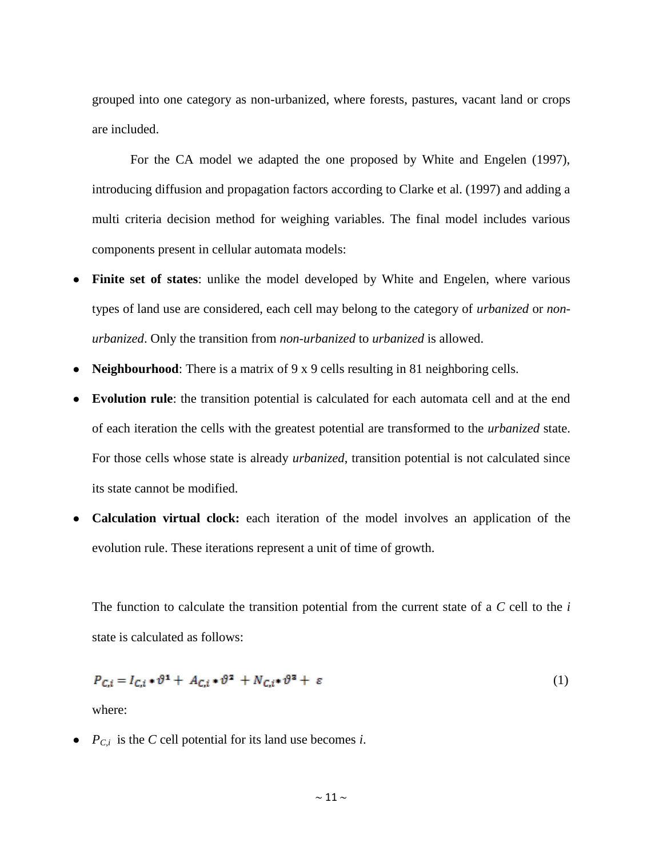grouped into one category as non-urbanized, where forests, pastures, vacant land or crops are included.

For the CA model we adapted the one proposed by White and Engelen (1997), introducing diffusion and propagation factors according to Clarke et al. (1997) and adding a multi criteria decision method for weighing variables. The final model includes various components present in cellular automata models:

- **Finite set of states**: unlike the model developed by White and Engelen, where various types of land use are considered, each cell may belong to the category of *urbanized* or *nonurbanized*. Only the transition from *non-urbanized* to *urbanized* is allowed.
- **Neighbourhood**: There is a matrix of 9 x 9 cells resulting in 81 neighboring cells.
- **Evolution rule**: the transition potential is calculated for each automata cell and at the end of each iteration the cells with the greatest potential are transformed to the *urbanized* state. For those cells whose state is already *urbanized*, transition potential is not calculated since its state cannot be modified.
- **Calculation virtual clock:** each iteration of the model involves an application of the evolution rule. These iterations represent a unit of time of growth.

The function to calculate the transition potential from the current state of a *C* cell to the *i* state is calculated as follows:

$$
P_{C,i} = I_{C,i} \cdot \vartheta^1 + A_{C,i} \cdot \vartheta^2 + N_{C,i} \cdot \vartheta^3 + \varepsilon
$$
 (1)

where:

•  $P_{C,i}$  is the *C* cell potential for its land use becomes *i*.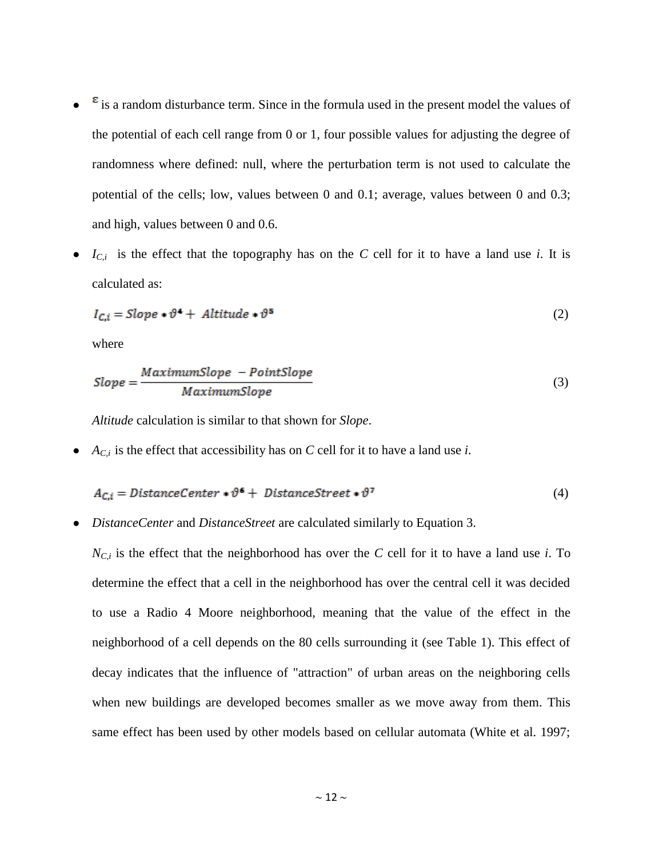- $\epsilon$  is a random disturbance term. Since in the formula used in the present model the values of the potential of each cell range from 0 or 1, four possible values for adjusting the degree of randomness where defined: null, where the perturbation term is not used to calculate the potential of the cells; low, values between 0 and 0.1; average, values between 0 and 0.3; and high, values between 0 and 0.6.
- $I_{C,i}$  is the effect that the topography has on the *C* cell for it to have a land use *i*. It is calculated as:

$$
I_{C,i} = Slope * \vartheta^4 + Altitude * \vartheta^5 \tag{2}
$$

where

$$
Slope = \frac{Maximum Slope - PointSlope}{MaximumSlope}
$$
 (3)

*Altitude* calculation is similar to that shown for *Slope*.

 $\bullet$  *A<sub>C,i</sub>* is the effect that accessibility has on *C* cell for it to have a land use *i*.

$$
A_{C,i} = DistanceCenter * \vartheta^6 + DistanceStreet * \vartheta^7
$$
\n(4)

● *DistanceCenter* and *DistanceStreet* are calculated similarly to Equation 3.

 $N_{C,i}$  is the effect that the neighborhood has over the *C* cell for it to have a land use *i*. To determine the effect that a cell in the neighborhood has over the central cell it was decided to use a Radio 4 Moore neighborhood, meaning that the value of the effect in the neighborhood of a cell depends on the 80 cells surrounding it (see Table 1). This effect of decay indicates that the influence of "attraction" of urban areas on the neighboring cells when new buildings are developed becomes smaller as we move away from them. This same effect has been used by other models based on cellular automata (White et al. 1997;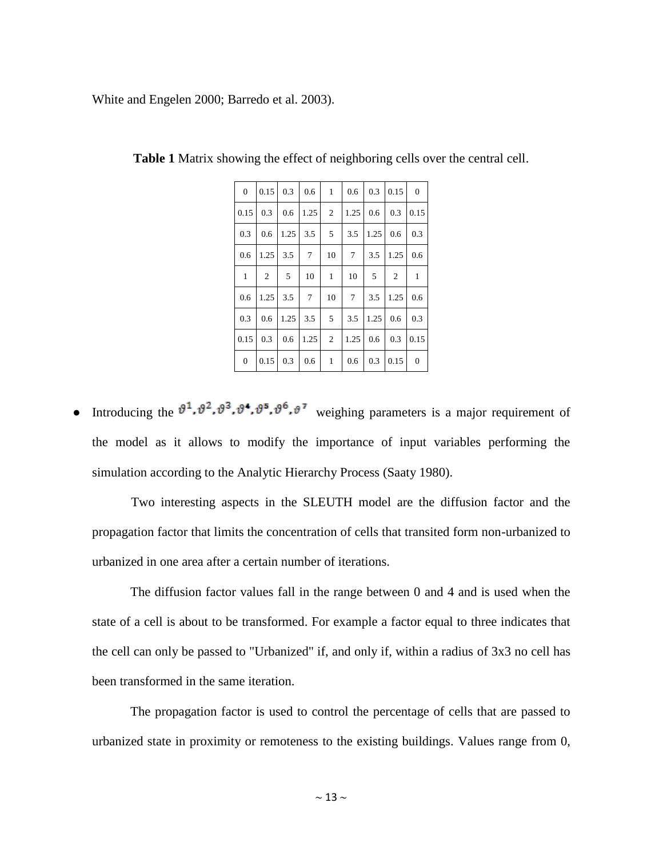White and Engelen 2000; Barredo et al. 2003).

| $\overline{0}$   | 0.15           | 0.3  | 0.6            | $\mathbf{1}$   | 0.6            | 0.3  | 0.15         | $\overline{0}$ |
|------------------|----------------|------|----------------|----------------|----------------|------|--------------|----------------|
| 0.15             | 0.3            | 0.6  | 1.25           | $\overline{2}$ | 1.25           | 0.6  | 0.3          | 0.15           |
| 0.3              | 0.6            | 1.25 | 3.5            | 5              | 3.5            | 1.25 | 0.6          | 0.3            |
| 0.6              | 1.25           | 3.5  | $\overline{7}$ | 10             | $\overline{7}$ | 3.5  | 1.25         | 0.6            |
| $\mathbf{1}$     | $\mathfrak{2}$ | 5    | 10             | 1              | 10             | 5    | $\mathbf{2}$ | $\mathbf{1}$   |
| 0.6              | 1.25           | 3.5  | $\overline{7}$ | 10             | $\tau$         | 3.5  | 1.25         | 0.6            |
| 0.3              | 0.6            | 1.25 | 3.5            | 5              | 3.5            | 1.25 | 0.6          | 0.3            |
| 0.15             | 0.3            | 0.6  | 1.25           | 2              | 1.25           | 0.6  | 0.3          | 0.15           |
| $\boldsymbol{0}$ | 0.15           | 0.3  | 0.6            | $\mathbf{1}$   | 0.6            | 0.3  | 0.15         | $\mathbf{0}$   |

**Table 1** Matrix showing the effect of neighboring cells over the central cell.

Introducing the  $\vartheta^1$ ,  $\vartheta^2$ ,  $\vartheta^3$ ,  $\vartheta^4$ ,  $\vartheta^5$ ,  $\vartheta^7$  weighing parameters is a major requirement of the model as it allows to modify the importance of input variables performing the simulation according to the Analytic Hierarchy Process (Saaty 1980).

Two interesting aspects in the SLEUTH model are the diffusion factor and the propagation factor that limits the concentration of cells that transited form non-urbanized to urbanized in one area after a certain number of iterations.

The diffusion factor values fall in the range between 0 and 4 and is used when the state of a cell is about to be transformed. For example a factor equal to three indicates that the cell can only be passed to "Urbanized" if, and only if, within a radius of 3x3 no cell has been transformed in the same iteration.

The propagation factor is used to control the percentage of cells that are passed to urbanized state in proximity or remoteness to the existing buildings. Values range from 0,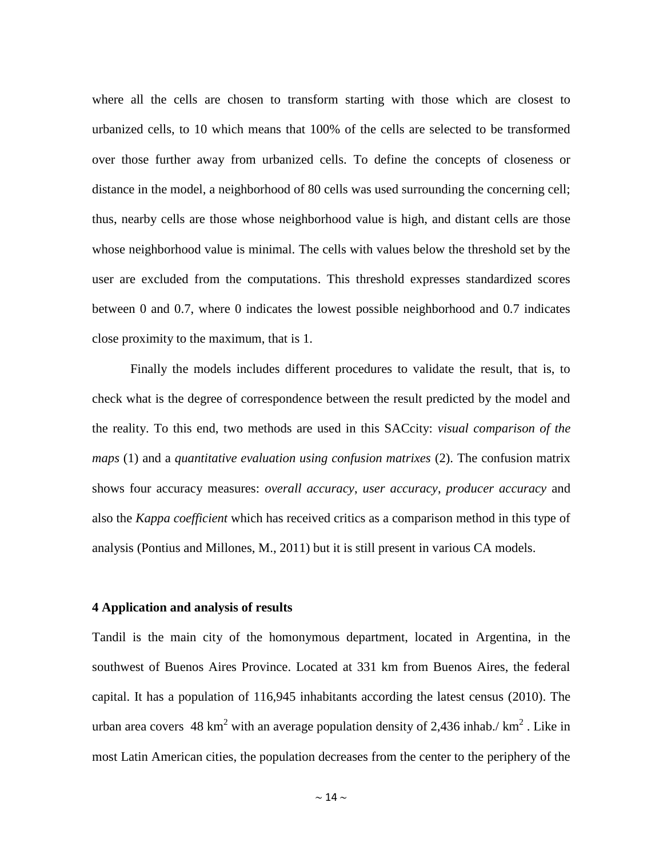where all the cells are chosen to transform starting with those which are closest to urbanized cells, to 10 which means that 100% of the cells are selected to be transformed over those further away from urbanized cells. To define the concepts of closeness or distance in the model, a neighborhood of 80 cells was used surrounding the concerning cell; thus, nearby cells are those whose neighborhood value is high, and distant cells are those whose neighborhood value is minimal. The cells with values below the threshold set by the user are excluded from the computations. This threshold expresses standardized scores between 0 and 0.7, where 0 indicates the lowest possible neighborhood and 0.7 indicates close proximity to the maximum, that is 1.

Finally the models includes different procedures to validate the result, that is, to check what is the degree of correspondence between the result predicted by the model and the reality. To this end, two methods are used in this SACcity: *visual comparison of the maps* (1) and a *quantitative evaluation using confusion matrixes* (2). The confusion matrix shows four accuracy measures: *overall accuracy*, *user accuracy*, *producer accuracy* and also the *Kappa coefficient* which has received critics as a comparison method in this type of analysis (Pontius and Millones, M., 2011) but it is still present in various CA models.

## **4 Application and analysis of results**

Tandil is the main city of the homonymous department, located in [Argentina,](http://en.wikipedia.org/wiki/Argentina) in the southwest of [Buenos Aires Province.](http://en.wikipedia.org/wiki/Buenos_Aires_Province) Located at 331 km from Buenos Aires, the federal capital. It has a population of 116,945 inhabitants according the latest census (2010). The urban area covers 48 km<sup>2</sup> with an average population density of 2,436 inhab./ km<sup>2</sup>. Like in most Latin American cities, the population decreases from the center to the periphery of the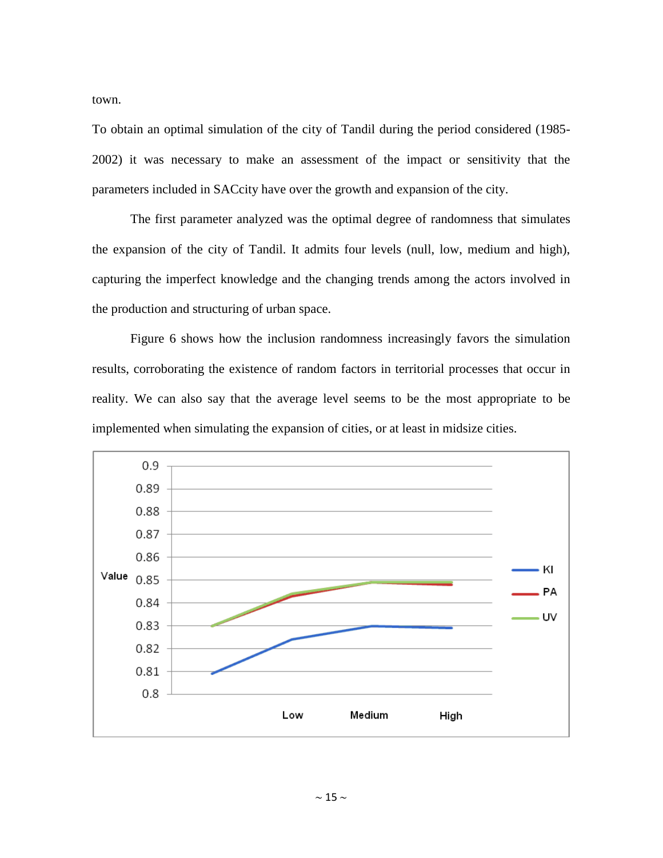town.

To obtain an optimal simulation of the city of Tandil during the period considered (1985- 2002) it was necessary to make an assessment of the impact or sensitivity that the parameters included in SACcity have over the growth and expansion of the city.

The first parameter analyzed was the optimal degree of randomness that simulates the expansion of the city of Tandil. It admits four levels (null, low, medium and high), capturing the imperfect knowledge and the changing trends among the actors involved in the production and structuring of urban space.

Figure 6 shows how the inclusion randomness increasingly favors the simulation results, corroborating the existence of random factors in territorial processes that occur in reality. We can also say that the average level seems to be the most appropriate to be implemented when simulating the expansion of cities, or at least in midsize cities.

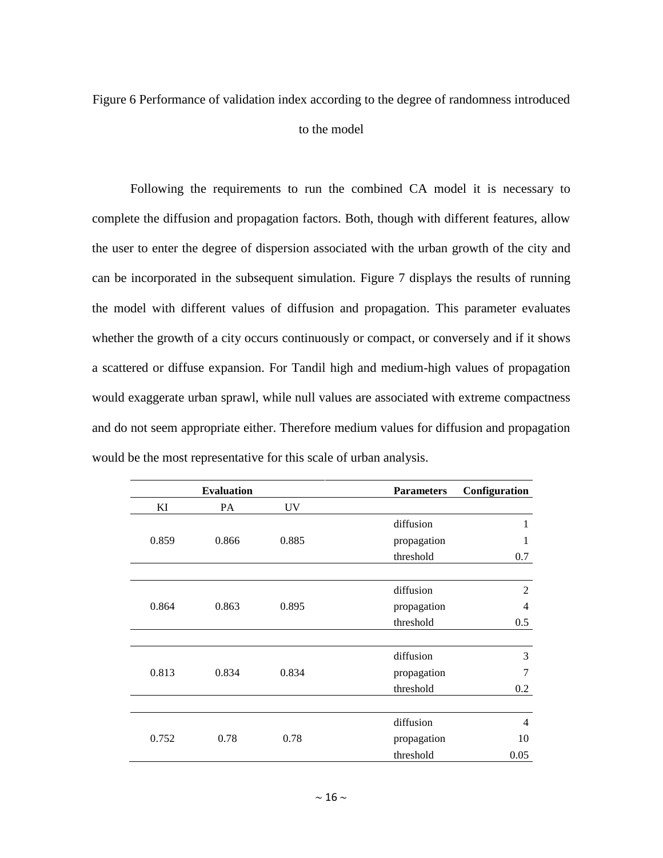# Figure 6 Performance of validation index according to the degree of randomness introduced to the model

Following the requirements to run the combined CA model it is necessary to complete the diffusion and propagation factors. Both, though with different features, allow the user to enter the degree of dispersion associated with the urban growth of the city and can be incorporated in the subsequent simulation. Figure 7 displays the results of running the model with different values of diffusion and propagation. This parameter evaluates whether the growth of a city occurs continuously or compact, or conversely and if it shows a scattered or diffuse expansion. For Tandil high and medium-high values of propagation would exaggerate urban sprawl, while null values are associated with extreme compactness and do not seem appropriate either. Therefore medium values for diffusion and propagation would be the most representative for this scale of urban analysis.

|       | <b>Evaluation</b> |           | <b>Parameters</b> | Configuration  |
|-------|-------------------|-----------|-------------------|----------------|
| KI    | <b>PA</b>         | <b>UV</b> |                   |                |
|       |                   |           | diffusion         | 1              |
| 0.859 | 0.866             | 0.885     | propagation       | 1              |
|       |                   |           | threshold         | 0.7            |
|       |                   |           |                   |                |
|       |                   |           | diffusion         | $\overline{2}$ |
| 0.864 | 0.863             | 0.895     | propagation       | 4              |
|       |                   |           | threshold         | 0.5            |
|       |                   |           |                   |                |
|       |                   | 0.834     | diffusion         | 3              |
| 0.813 | 0.834             |           | propagation       | 7              |
|       |                   |           | threshold         | 0.2            |
|       |                   |           |                   |                |
|       |                   |           | diffusion         | $\overline{4}$ |
| 0.752 | 0.78              | 0.78      | propagation       | 10             |
|       |                   |           | threshold         | 0.05           |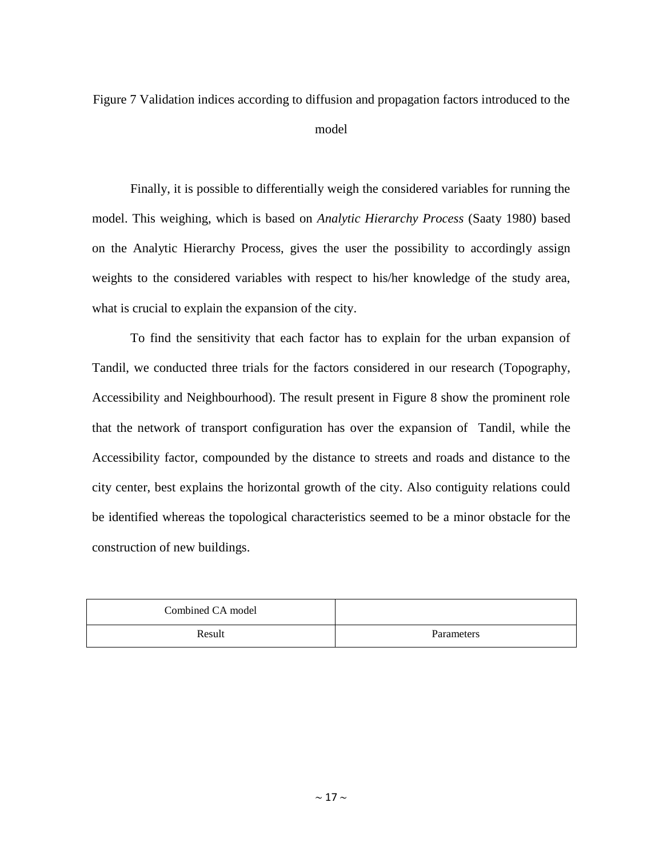Figure 7 Validation indices according to diffusion and propagation factors introduced to the model

Finally, it is possible to differentially weigh the considered variables for running the model. This weighing, which is based on *Analytic Hierarchy Process* (Saaty 1980) based on the Analytic Hierarchy Process, gives the user the possibility to accordingly assign weights to the considered variables with respect to his/her knowledge of the study area, what is crucial to explain the expansion of the city.

To find the sensitivity that each factor has to explain for the urban expansion of Tandil, we conducted three trials for the factors considered in our research (Topography, Accessibility and Neighbourhood). The result present in Figure 8 show the prominent role that the network of transport configuration has over the expansion of Tandil, while the Accessibility factor, compounded by the distance to streets and roads and distance to the city center, best explains the horizontal growth of the city. Also contiguity relations could be identified whereas the topological characteristics seemed to be a minor obstacle for the construction of new buildings.

| Combined CA model |            |
|-------------------|------------|
| Result            | Parameters |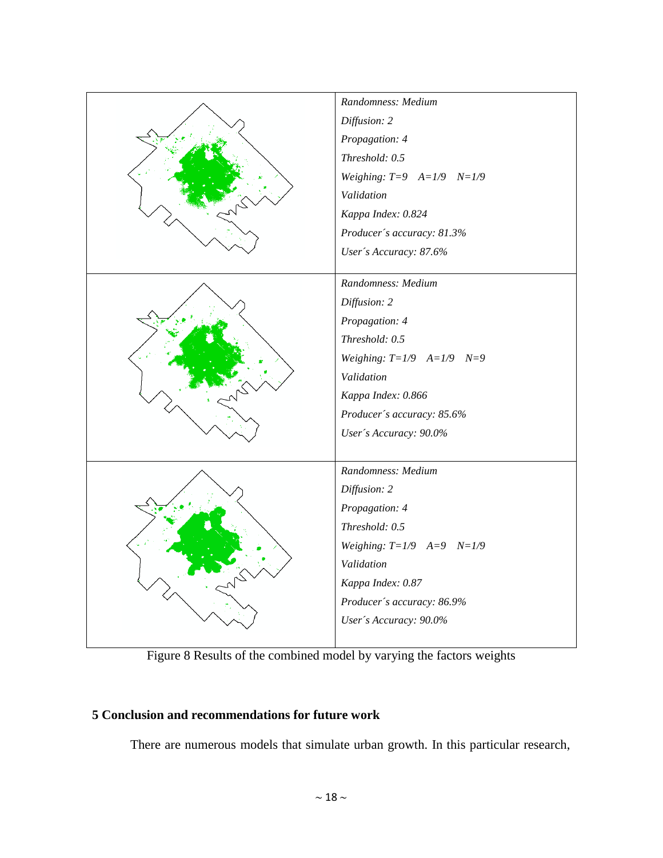

Figure 8 Results of the combined model by varying the factors weights

## **5 Conclusion and recommendations for future work**

There are numerous models that simulate urban growth. In this particular research,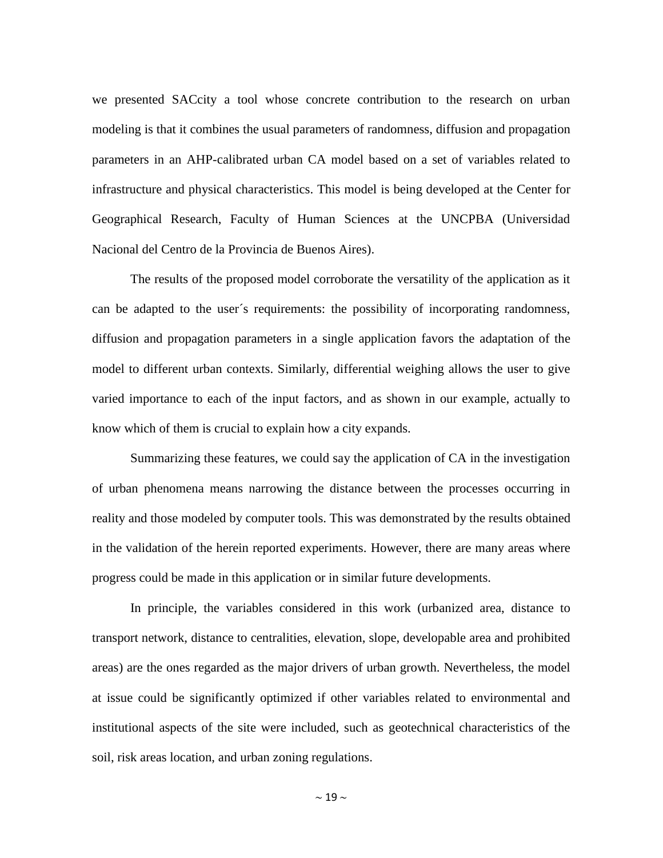we presented SACcity a tool whose concrete contribution to the research on urban modeling is that it combines the usual parameters of randomness, diffusion and propagation parameters in an AHP-calibrated urban CA model based on a set of variables related to infrastructure and physical characteristics. This model is being developed at the Center for Geographical Research, Faculty of Human Sciences at the UNCPBA (Universidad Nacional del Centro de la Provincia de Buenos Aires).

The results of the proposed model corroborate the versatility of the application as it can be adapted to the user´s requirements: the possibility of incorporating randomness, diffusion and propagation parameters in a single application favors the adaptation of the model to different urban contexts. Similarly, differential weighing allows the user to give varied importance to each of the input factors, and as shown in our example, actually to know which of them is crucial to explain how a city expands.

Summarizing these features, we could say the application of CA in the investigation of urban phenomena means narrowing the distance between the processes occurring in reality and those modeled by computer tools. This was demonstrated by the results obtained in the validation of the herein reported experiments. However, there are many areas where progress could be made in this application or in similar future developments.

In principle, the variables considered in this work (urbanized area, distance to transport network, distance to centralities, elevation, slope, developable area and prohibited areas) are the ones regarded as the major drivers of urban growth. Nevertheless, the model at issue could be significantly optimized if other variables related to environmental and institutional aspects of the site were included, such as geotechnical characteristics of the soil, risk areas location, and urban zoning regulations.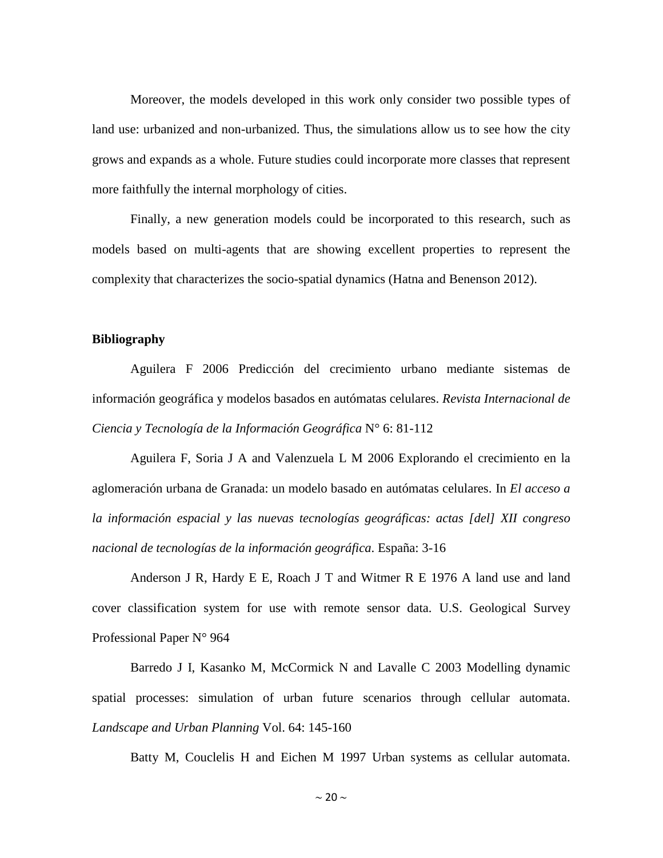Moreover, the models developed in this work only consider two possible types of land use: urbanized and non-urbanized. Thus, the simulations allow us to see how the city grows and expands as a whole. Future studies could incorporate more classes that represent more faithfully the internal morphology of cities.

Finally, a new generation models could be incorporated to this research, such as models based on multi-agents that are showing excellent properties to represent the complexity that characterizes the socio-spatial dynamics (Hatna and Benenson 2012).

#### **Bibliography**

Aguilera F 2006 Predicción del crecimiento urbano mediante sistemas de información geográfica y modelos basados en autómatas celulares. *Revista Internacional de Ciencia y Tecnología de la Información Geográfica* N° 6: 81-112

Aguilera F, Soria J A and Valenzuela L M 2006 Explorando el crecimiento en la aglomeración urbana de Granada: un modelo basado en autómatas celulares. In *El acceso a la información espacial y las nuevas tecnologías geográficas: actas [del] XII congreso nacional de tecnologías de la información geográfica*. España: 3-16

Anderson J R, Hardy E E, Roach J T and Witmer R E 1976 A land use and land cover classification system for use with remote sensor data*.* U.S. Geological Survey Professional Paper N° 964

Barredo J I, Kasanko M, McCormick N and Lavalle C 2003 Modelling dynamic spatial processes: simulation of urban future scenarios through cellular automata. *Landscape and Urban Planning* Vol. 64: 145-160

Batty M, Couclelis H and Eichen M 1997 Urban systems as cellular automata.

 $\sim$  20  $\sim$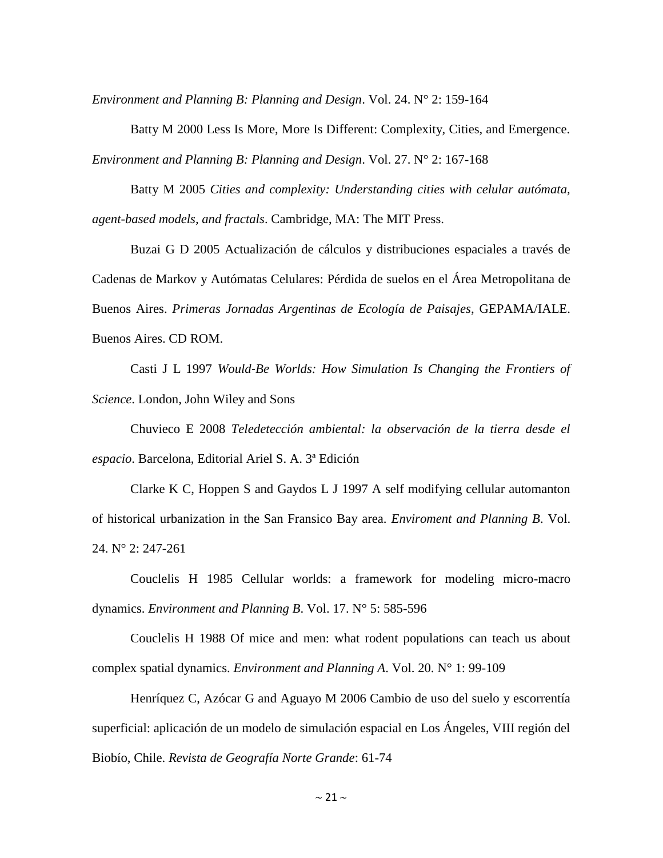*Environment and Planning B: Planning and Design*. Vol. 24. N° 2: 159-164

Batty M 2000 Less Is More, More Is Different: Complexity, Cities, and Emergence. *Environment and Planning B: Planning and Design*. Vol. 27. N° 2: 167-168

Batty M 2005 *Cities and complexity: Understanding cities with celular autómata, agent-based models, and fractals*. Cambridge, MA: The MIT Press.

Buzai G D 2005 Actualización de cálculos y distribuciones espaciales a través de Cadenas de Markov y Autómatas Celulares: Pérdida de suelos en el Área Metropolitana de Buenos Aires. *Primeras Jornadas Argentinas de Ecología de Paisajes*, GEPAMA/IALE. Buenos Aires. CD ROM.

Casti J L 1997 *Would‐Be Worlds: How Simulation Is Changing the Frontiers of Science*. London, John Wiley and Sons

Chuvieco E 2008 *Teledetección ambiental: la observación de la tierra desde el espacio*. Barcelona, Editorial Ariel S. A. 3ª Edición

Clarke K C, Hoppen S and Gaydos L J 1997 A self modifying cellular automanton of historical urbanization in the San Fransico Bay area. *Enviroment and Planning B*. Vol. 24. N° 2: 247-261

Couclelis H 1985 Cellular worlds: a framework for modeling micro-macro dynamics. *Environment and Planning B*. Vol. 17. N° 5: 585-596

Couclelis H 1988 Of mice and men: what rodent populations can teach us about complex spatial dynamics. *Environment and Planning A*. Vol. 20. N° 1: 99-109

Henríquez C, Azócar G and Aguayo M 2006 Cambio de uso del suelo y escorrentía superficial: aplicación de un modelo de simulación espacial en Los Ángeles, VIII región del Biobío, Chile. *Revista de Geografía Norte Grande*: 61-74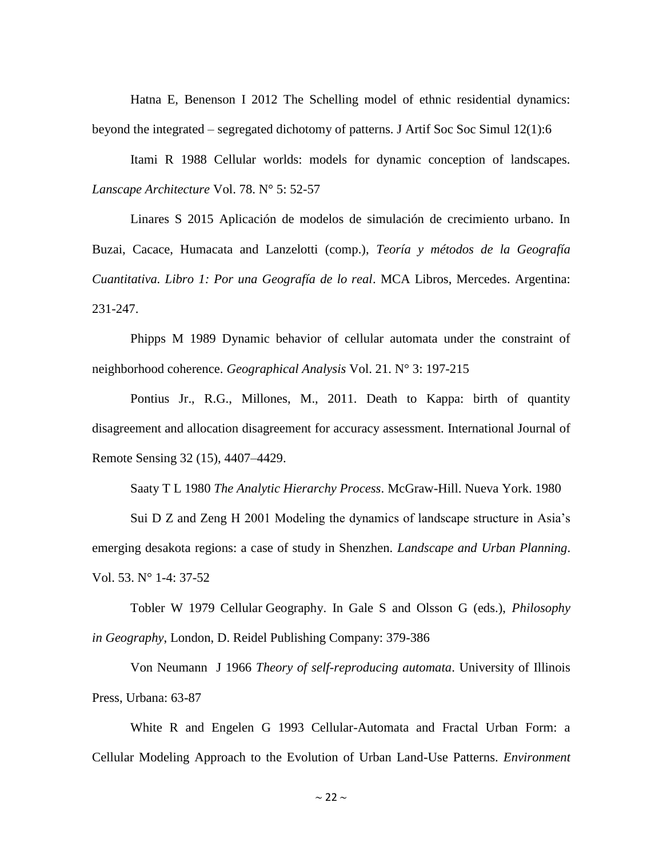Hatna E, Benenson I 2012 The Schelling model of ethnic residential dynamics: beyond the integrated – segregated dichotomy of patterns. J Artif Soc Soc Simul 12(1):6

Itami R 1988 Cellular worlds: models for dynamic conception of landscapes. *Lanscape Architecture* Vol. 78. N° 5: 52-57

Linares S 2015 Aplicación de modelos de simulación de crecimiento urbano. In Buzai, Cacace, Humacata and Lanzelotti (comp.), *Teoría y métodos de la Geografía Cuantitativa. Libro 1: Por una Geografía de lo real*. MCA Libros, Mercedes. Argentina: 231-247.

Phipps M 1989 Dynamic behavior of cellular automata under the constraint of neighborhood coherence. *Geographical Analysis* Vol. 21. N° 3: 197-215

Pontius Jr., R.G., Millones, M., 2011. Death to Kappa: birth of quantity disagreement and allocation disagreement for accuracy assessment. International Journal of Remote Sensing 32 (15), 4407–4429.

Saaty T L 1980 *The Analytic Hierarchy Process*. McGraw-Hill. Nueva York. 1980

Sui D Z and Zeng H 2001 Modeling the dynamics of landscape structure in Asia's emerging desakota regions: a case of study in Shenzhen. *Landscape and Urban Planning*. Vol. 53. N° 1-4: 37-52

Tobler W 1979 Cellular Geography. In Gale S and Olsson G (eds.), *Philosophy in Geography*, London, D. Reidel Publishing Company: 379-386

Von Neumann J 1966 *Theory of self-reproducing automata*. University of Illinois Press, Urbana: 63-87

White R and Engelen G 1993 Cellular-Automata and Fractal Urban Form: a Cellular Modeling Approach to the Evolution of Urban Land-Use Patterns. *Environment* 

 $\sim$  22  $\sim$